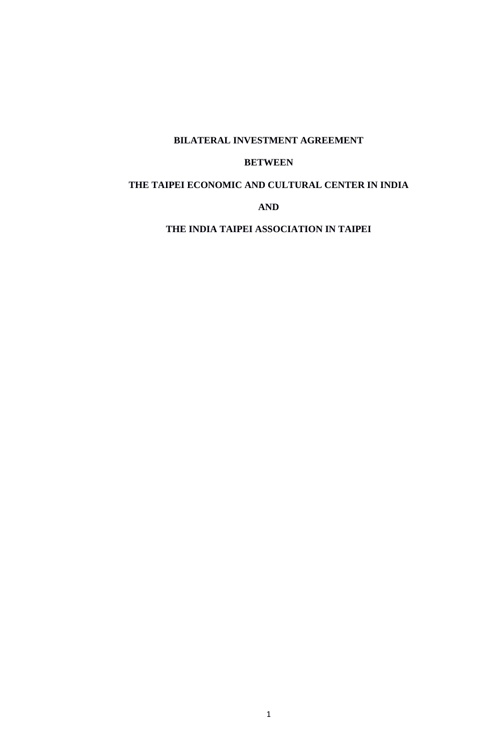# **BILATERAL INVESTMENT AGREEMENT**

## **BETWEEN**

## **THE TAIPEI ECONOMIC AND CULTURAL CENTER IN INDIA**

## **AND**

**THE INDIA TAIPEI ASSOCIATION IN TAIPEI**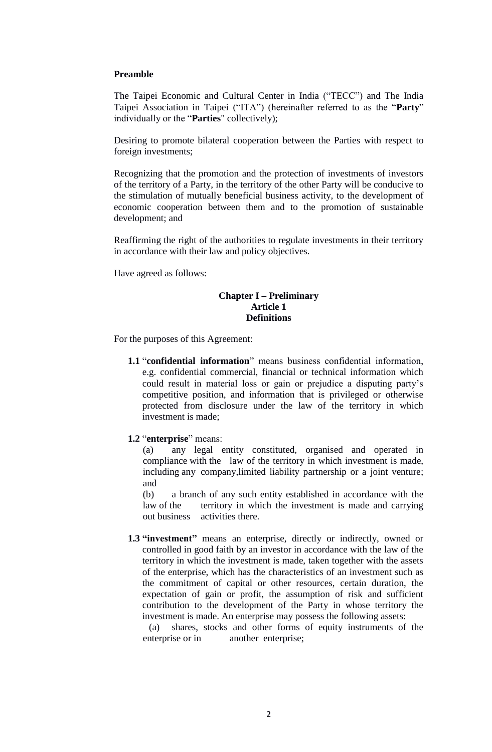#### **Preamble**

The Taipei Economic and Cultural Center in India ("TECC") and The India Taipei Association in Taipei ("ITA") (hereinafter referred to as the "**Party**" individually or the "**Parties**" collectively);

Desiring to promote bilateral cooperation between the Parties with respect to foreign investments;

Recognizing that the promotion and the protection of investments of investors of the territory of a Party, in the territory of the other Party will be conducive to the stimulation of mutually beneficial business activity, to the development of economic cooperation between them and to the promotion of sustainable development; and

Reaffirming the right of the authorities to regulate investments in their territory in accordance with their law and policy objectives.

Have agreed as follows:

#### **Chapter I – Preliminary Article 1 Definitions**

For the purposes of this Agreement:

**1.1** "**confidential information**" means business confidential information, e.g. confidential commercial, financial or technical information which could result in material loss or gain or prejudice a disputing party's competitive position, and information that is privileged or otherwise protected from disclosure under the law of the territory in which investment is made;

**1.2** "**enterprise**" means:

(a) any legal entity constituted, organised and operated in compliance with the law of the territory in which investment is made, including any company,limited liability partnership or a joint venture; and

(b) a branch of any such entity established in accordance with the law of the territory in which the investment is made and carrying out business activities there.

**1.3 "investment"** means an enterprise, directly or indirectly, owned or controlled in good faith by an investor in accordance with the law of the territory in which the investment is made, taken together with the assets of the enterprise, which has the characteristics of an investment such as the commitment of capital or other resources, certain duration, the expectation of gain or profit, the assumption of risk and sufficient contribution to the development of the Party in whose territory the investment is made. An enterprise may possess the following assets:

(a) shares, stocks and other forms of equity instruments of the enterprise or in another enterprise;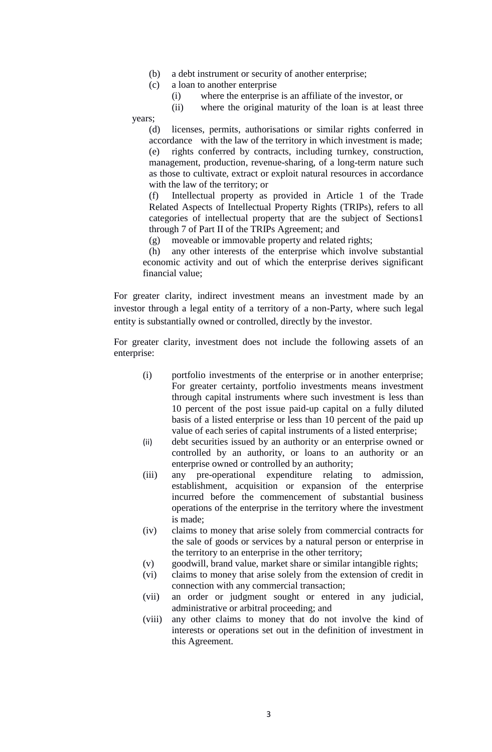- (b) a debt instrument or security of another enterprise;
- (c) a loan to another enterprise
	- (i) where the enterprise is an affiliate of the investor, or

(ii) where the original maturity of the loan is at least three

years;

(d) licenses, permits, authorisations or similar rights conferred in accordance with the law of the territory in which investment is made; (e) rights conferred by contracts, including turnkey, construction, management, production, revenue-sharing, of a long-term nature such as those to cultivate, extract or exploit natural resources in accordance with the law of the territory; or

(f) Intellectual property as provided in Article 1 of the Trade Related Aspects of Intellectual Property Rights (TRIPs), refers to all categories of intellectual property that are the subject of Sections1 through 7 of Part II of the TRIPs Agreement; and

(g) moveable or immovable property and related rights;

(h) any other interests of the enterprise which involve substantial economic activity and out of which the enterprise derives significant financial value;

For greater clarity, indirect investment means an investment made by an investor through a legal entity of a territory of a non-Party, where such legal entity is substantially owned or controlled, directly by the investor.

For greater clarity, investment does not include the following assets of an enterprise:

- (i) portfolio investments of the enterprise or in another enterprise; For greater certainty, portfolio investments means investment through capital instruments where such investment is less than 10 percent of the post issue paid-up capital on a fully diluted basis of a listed enterprise or less than 10 percent of the paid up value of each series of capital instruments of a listed enterprise;
- (ii) debt securities issued by an authority or an enterprise owned or controlled by an authority, or loans to an authority or an enterprise owned or controlled by an authority;
- (iii) any pre-operational expenditure relating to admission, establishment, acquisition or expansion of the enterprise incurred before the commencement of substantial business operations of the enterprise in the territory where the investment is made;
- (iv) claims to money that arise solely from commercial contracts for the sale of goods or services by a natural person or enterprise in the territory to an enterprise in the other territory;
- (v) goodwill, brand value, market share or similar intangible rights;
- (vi) claims to money that arise solely from the extension of credit in connection with any commercial transaction;
- (vii) an order or judgment sought or entered in any judicial, administrative or arbitral proceeding; and
- (viii) any other claims to money that do not involve the kind of interests or operations set out in the definition of investment in this Agreement.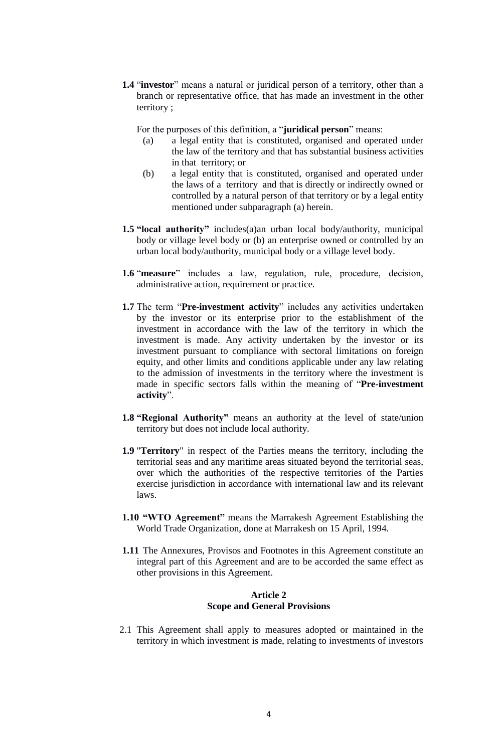**1.4** "**investor**" means a natural or juridical person of a territory, other than a branch or representative office, that has made an investment in the other territory ;

For the purposes of this definition, a "**juridical person**" means:

- (a) a legal entity that is constituted, organised and operated under the law of the territory and that has substantial business activities in that territory; or
- (b) a legal entity that is constituted, organised and operated under the laws of a territory and that is directly or indirectly owned or controlled by a natural person of that territory or by a legal entity mentioned under subparagraph (a) herein.
- **1.5 "local authority"** includes(a)an urban local body/authority, municipal body or village level body or (b) an enterprise owned or controlled by an urban local body/authority, municipal body or a village level body.
- **1.6** "**measure**" includes a law, regulation, rule, procedure, decision, administrative action, requirement or practice.
- **1.7** The term "**Pre-investment activity**" includes any activities undertaken by the investor or its enterprise prior to the establishment of the investment in accordance with the law of the territory in which the investment is made. Any activity undertaken by the investor or its investment pursuant to compliance with sectoral limitations on foreign equity, and other limits and conditions applicable under any law relating to the admission of investments in the territory where the investment is made in specific sectors falls within the meaning of "**Pre-investment activity**".
- **1.8 "Regional Authority"** means an authority at the level of state/union territory but does not include local authority.
- **1.9** "**Territory**" in respect of the Parties means the territory, including the territorial seas and any maritime areas situated beyond the territorial seas, over which the authorities of the respective territories of the Parties exercise jurisdiction in accordance with international law and its relevant laws.
- **1.10 "WTO Agreement"** means the Marrakesh Agreement Establishing the World Trade Organization, done at Marrakesh on 15 April, 1994.
- **1.11** The Annexures, Provisos and Footnotes in this Agreement constitute an integral part of this Agreement and are to be accorded the same effect as other provisions in this Agreement.

## **Article 2 Scope and General Provisions**

2.1 This Agreement shall apply to measures adopted or maintained in the territory in which investment is made, relating to investments of investors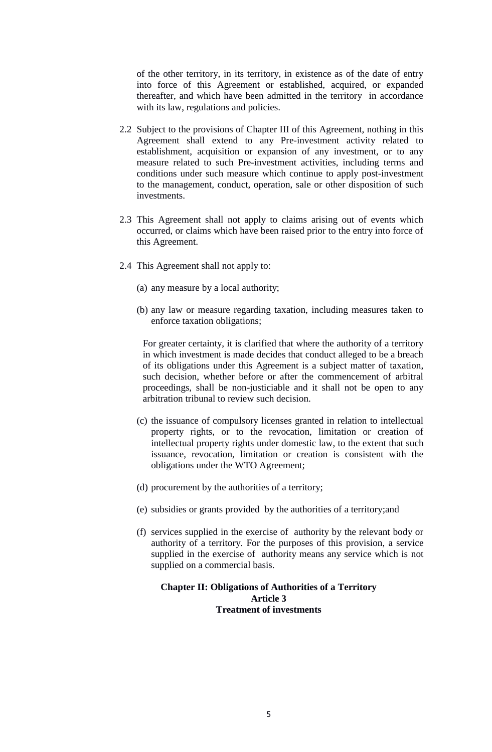of the other territory, in its territory, in existence as of the date of entry into force of this Agreement or established, acquired, or expanded thereafter, and which have been admitted in the territory in accordance with its law, regulations and policies.

- 2.2 Subject to the provisions of Chapter III of this Agreement, nothing in this Agreement shall extend to any Pre-investment activity related to establishment, acquisition or expansion of any investment, or to any measure related to such Pre-investment activities, including terms and conditions under such measure which continue to apply post-investment to the management, conduct, operation, sale or other disposition of such investments.
- 2.3 This Agreement shall not apply to claims arising out of events which occurred, or claims which have been raised prior to the entry into force of this Agreement.
- 2.4 This Agreement shall not apply to:
	- (a) any measure by a local authority;
	- (b) any law or measure regarding taxation, including measures taken to enforce taxation obligations;

For greater certainty, it is clarified that where the authority of a territory in which investment is made decides that conduct alleged to be a breach of its obligations under this Agreement is a subject matter of taxation, such decision, whether before or after the commencement of arbitral proceedings, shall be non-justiciable and it shall not be open to any arbitration tribunal to review such decision.

- (c) the issuance of compulsory licenses granted in relation to intellectual property rights, or to the revocation, limitation or creation of intellectual property rights under domestic law, to the extent that such issuance, revocation, limitation or creation is consistent with the obligations under the WTO Agreement;
- (d) procurement by the authorities of a territory;
- (e) subsidies or grants provided by the authorities of a territory;and
- (f) services supplied in the exercise of authority by the relevant body or authority of a territory. For the purposes of this provision, a service supplied in the exercise of authority means any service which is not supplied on a commercial basis.

## **Chapter II: Obligations of Authorities of a Territory Article 3 Treatment of investments**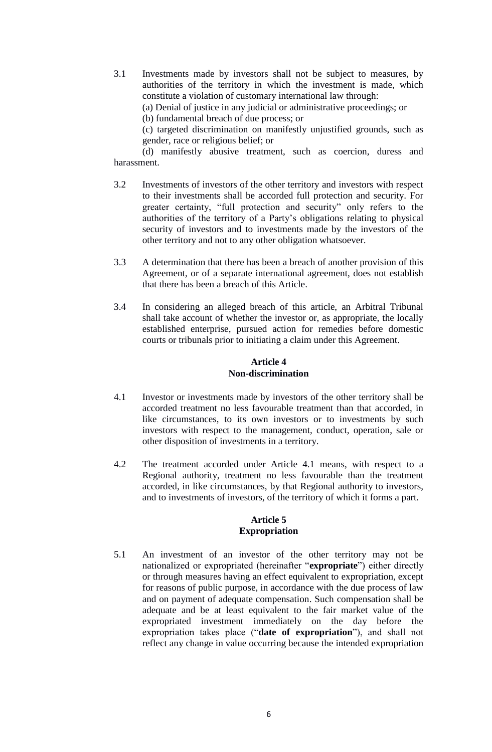3.1 Investments made by investors shall not be subject to measures, by authorities of the territory in which the investment is made, which constitute a violation of customary international law through:

(a) Denial of justice in any judicial or administrative proceedings; or

(b) fundamental breach of due process; or

(c) targeted discrimination on manifestly unjustified grounds, such as gender, race or religious belief; or

(d) manifestly abusive treatment, such as coercion, duress and harassment.

- 3.2 Investments of investors of the other territory and investors with respect to their investments shall be accorded full protection and security. For greater certainty, "full protection and security" only refers to the authorities of the territory of a Party's obligations relating to physical security of investors and to investments made by the investors of the other territory and not to any other obligation whatsoever.
- 3.3 A determination that there has been a breach of another provision of this Agreement, or of a separate international agreement, does not establish that there has been a breach of this Article.
- 3.4 In considering an alleged breach of this article, an Arbitral Tribunal shall take account of whether the investor or, as appropriate, the locally established enterprise, pursued action for remedies before domestic courts or tribunals prior to initiating a claim under this Agreement.

## **Article 4 Non-discrimination**

- 4.1 Investor or investments made by investors of the other territory shall be accorded treatment no less favourable treatment than that accorded, in like circumstances, to its own investors or to investments by such investors with respect to the management, conduct, operation, sale or other disposition of investments in a territory.
- 4.2 The treatment accorded under Article 4.1 means, with respect to a Regional authority, treatment no less favourable than the treatment accorded, in like circumstances, by that Regional authority to investors, and to investments of investors, of the territory of which it forms a part.

#### **Article 5 Expropriation**

5.1 An investment of an investor of the other territory may not be nationalized or expropriated (hereinafter "**expropriate**") either directly or through measures having an effect equivalent to expropriation, except for reasons of public purpose, in accordance with the due process of law and on payment of adequate compensation. Such compensation shall be adequate and be at least equivalent to the fair market value of the expropriated investment immediately on the day before the expropriation takes place ("**date of expropriation**"), and shall not reflect any change in value occurring because the intended expropriation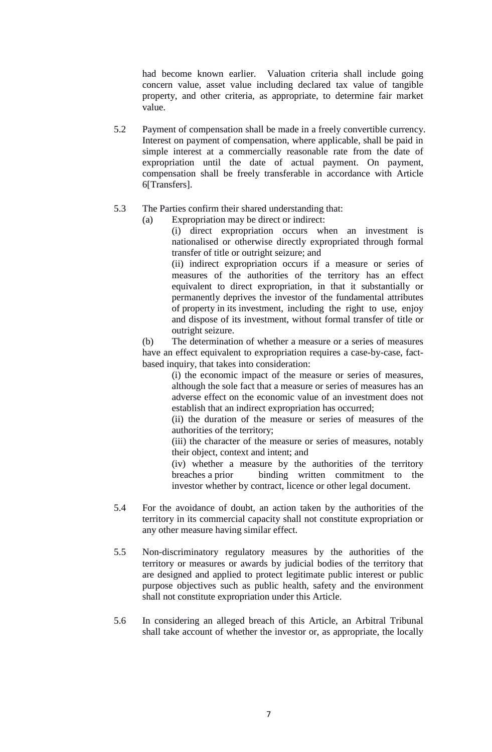had become known earlier. Valuation criteria shall include going concern value, asset value including declared tax value of tangible property, and other criteria, as appropriate, to determine fair market value.

5.2 Payment of compensation shall be made in a freely convertible currency. Interest on payment of compensation, where applicable, shall be paid in simple interest at a commercially reasonable rate from the date of expropriation until the date of actual payment. On payment, compensation shall be freely transferable in accordance with Article 6[Transfers].

## 5.3 The Parties confirm their shared understanding that:

(a) Expropriation may be direct or indirect:

(i) direct expropriation occurs when an investment is nationalised or otherwise directly expropriated through formal transfer of title or outright seizure; and (ii) indirect expropriation occurs if a measure or series of

measures of the authorities of the territory has an effect equivalent to direct expropriation, in that it substantially or permanently deprives the investor of the fundamental attributes of property in its investment, including the right to use, enjoy and dispose of its investment, without formal transfer of title or outright seizure.

(b) The determination of whether a measure or a series of measures have an effect equivalent to expropriation requires a case-by-case, factbased inquiry, that takes into consideration:

(i) the economic impact of the measure or series of measures, although the sole fact that a measure or series of measures has an adverse effect on the economic value of an investment does not establish that an indirect expropriation has occurred;

(ii) the duration of the measure or series of measures of the authorities of the territory;

(iii) the character of the measure or series of measures, notably their object, context and intent; and

(iv) whether a measure by the authorities of the territory breaches a prior binding written commitment to the investor whether by contract, licence or other legal document.

- 5.4 For the avoidance of doubt, an action taken by the authorities of the territory in its commercial capacity shall not constitute expropriation or any other measure having similar effect.
- 5.5 Non-discriminatory regulatory measures by the authorities of the territory or measures or awards by judicial bodies of the territory that are designed and applied to protect legitimate public interest or public purpose objectives such as public health, safety and the environment shall not constitute expropriation under this Article.
- 5.6 In considering an alleged breach of this Article, an Arbitral Tribunal shall take account of whether the investor or, as appropriate, the locally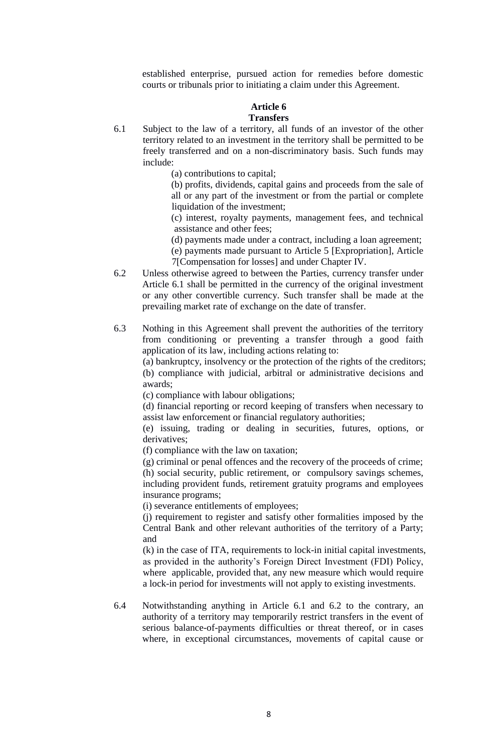established enterprise, pursued action for remedies before domestic courts or tribunals prior to initiating a claim under this Agreement.

#### **Article 6 Transfers**

- 6.1 Subject to the law of a territory, all funds of an investor of the other territory related to an investment in the territory shall be permitted to be freely transferred and on a non-discriminatory basis. Such funds may include:
	- (a) contributions to capital;

(b) profits, dividends, capital gains and proceeds from the sale of all or any part of the investment or from the partial or complete liquidation of the investment;

(c) interest, royalty payments, management fees, and technical assistance and other fees;

(d) payments made under a contract, including a loan agreement;

(e) payments made pursuant to Article 5 [Expropriation], Article

7[Compensation for losses] and under Chapter IV.

- 6.2 Unless otherwise agreed to between the Parties, currency transfer under Article 6.1 shall be permitted in the currency of the original investment or any other convertible currency. Such transfer shall be made at the prevailing market rate of exchange on the date of transfer.
- 6.3 Nothing in this Agreement shall prevent the authorities of the territory from conditioning or preventing a transfer through a good faith application of its law, including actions relating to:

(a) bankruptcy, insolvency or the protection of the rights of the creditors; (b) compliance with judicial, arbitral or administrative decisions and awards;

(c) compliance with labour obligations;

(d) financial reporting or record keeping of transfers when necessary to assist law enforcement or financial regulatory authorities;

(e) issuing, trading or dealing in securities, futures, options, or derivatives;

(f) compliance with the law on taxation;

(g) criminal or penal offences and the recovery of the proceeds of crime; (h) social security, public retirement, or compulsory savings schemes, including provident funds, retirement gratuity programs and employees insurance programs;

(i) severance entitlements of employees;

(j) requirement to register and satisfy other formalities imposed by the Central Bank and other relevant authorities of the territory of a Party; and

(k) in the case of ITA, requirements to lock-in initial capital investments, as provided in the authority's Foreign Direct Investment (FDI) Policy, where applicable, provided that, any new measure which would require a lock-in period for investments will not apply to existing investments.

6.4 Notwithstanding anything in Article 6.1 and 6.2 to the contrary, an authority of a territory may temporarily restrict transfers in the event of serious balance-of-payments difficulties or threat thereof, or in cases where, in exceptional circumstances, movements of capital cause or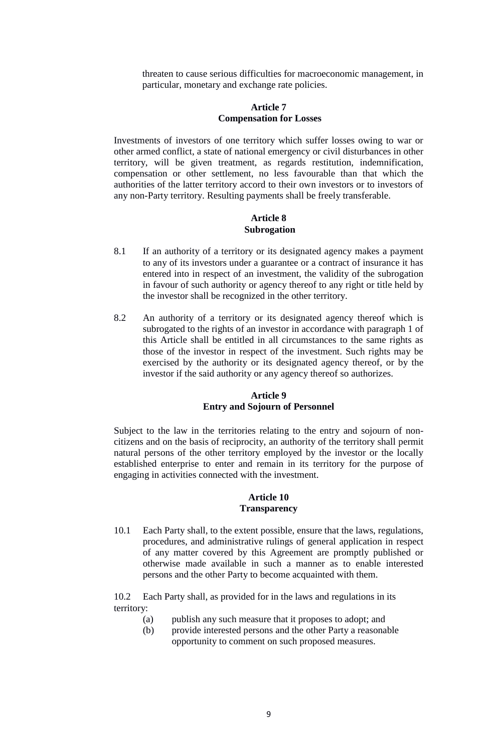threaten to cause serious difficulties for macroeconomic management, in particular, monetary and exchange rate policies.

### **Article 7 Compensation for Losses**

Investments of investors of one territory which suffer losses owing to war or other armed conflict, a state of national emergency or civil disturbances in other territory, will be given treatment, as regards restitution, indemnification, compensation or other settlement, no less favourable than that which the authorities of the latter territory accord to their own investors or to investors of any non-Party territory. Resulting payments shall be freely transferable.

#### **Article 8 Subrogation**

- 8.1 If an authority of a territory or its designated agency makes a payment to any of its investors under a guarantee or a contract of insurance it has entered into in respect of an investment, the validity of the subrogation in favour of such authority or agency thereof to any right or title held by the investor shall be recognized in the other territory.
- 8.2 An authority of a territory or its designated agency thereof which is subrogated to the rights of an investor in accordance with paragraph 1 of this Article shall be entitled in all circumstances to the same rights as those of the investor in respect of the investment. Such rights may be exercised by the authority or its designated agency thereof, or by the investor if the said authority or any agency thereof so authorizes.

### **Article 9 Entry and Sojourn of Personnel**

Subject to the law in the territories relating to the entry and sojourn of noncitizens and on the basis of reciprocity, an authority of the territory shall permit natural persons of the other territory employed by the investor or the locally established enterprise to enter and remain in its territory for the purpose of engaging in activities connected with the investment.

#### **Article 10 Transparency**

10.1 Each Party shall, to the extent possible, ensure that the laws, regulations, procedures, and administrative rulings of general application in respect of any matter covered by this Agreement are promptly published or otherwise made available in such a manner as to enable interested persons and the other Party to become acquainted with them.

10.2 Each Party shall, as provided for in the laws and regulations in its territory:

- (a) publish any such measure that it proposes to adopt; and
- (b) provide interested persons and the other Party a reasonable opportunity to comment on such proposed measures.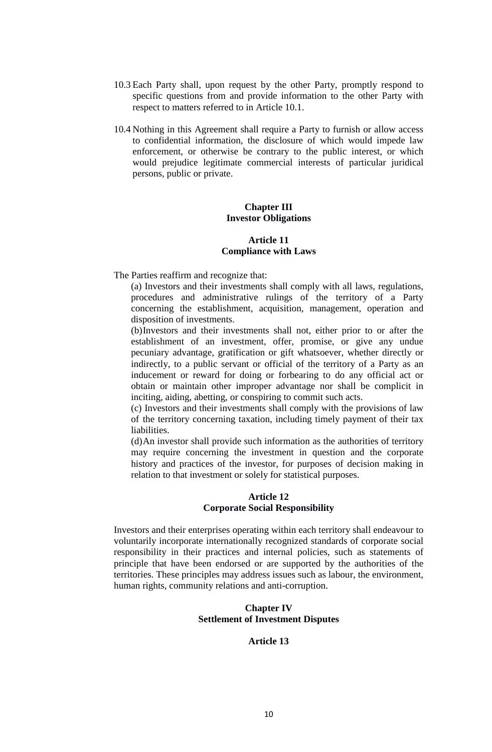- 10.3 Each Party shall, upon request by the other Party, promptly respond to specific questions from and provide information to the other Party with respect to matters referred to in Article 10.1.
- 10.4 Nothing in this Agreement shall require a Party to furnish or allow access to confidential information, the disclosure of which would impede law enforcement, or otherwise be contrary to the public interest, or which would prejudice legitimate commercial interests of particular juridical persons, public or private.

#### **Chapter III Investor Obligations**

#### **Article 11 Compliance with Laws**

The Parties reaffirm and recognize that:

(a) Investors and their investments shall comply with all laws, regulations, procedures and administrative rulings of the territory of a Party concerning the establishment, acquisition, management, operation and disposition of investments.

(b)Investors and their investments shall not, either prior to or after the establishment of an investment, offer, promise, or give any undue pecuniary advantage, gratification or gift whatsoever, whether directly or indirectly, to a public servant or official of the territory of a Party as an inducement or reward for doing or forbearing to do any official act or obtain or maintain other improper advantage nor shall be complicit in inciting, aiding, abetting, or conspiring to commit such acts.

(c) Investors and their investments shall comply with the provisions of law of the territory concerning taxation, including timely payment of their tax liabilities.

(d)An investor shall provide such information as the authorities of territory may require concerning the investment in question and the corporate history and practices of the investor, for purposes of decision making in relation to that investment or solely for statistical purposes.

#### **Article 12 Corporate Social Responsibility**

Investors and their enterprises operating within each territory shall endeavour to voluntarily incorporate internationally recognized standards of corporate social responsibility in their practices and internal policies, such as statements of principle that have been endorsed or are supported by the authorities of the territories. These principles may address issues such as labour, the environment, human rights, community relations and anti-corruption.

## **Chapter IV Settlement of Investment Disputes**

## **Article 13**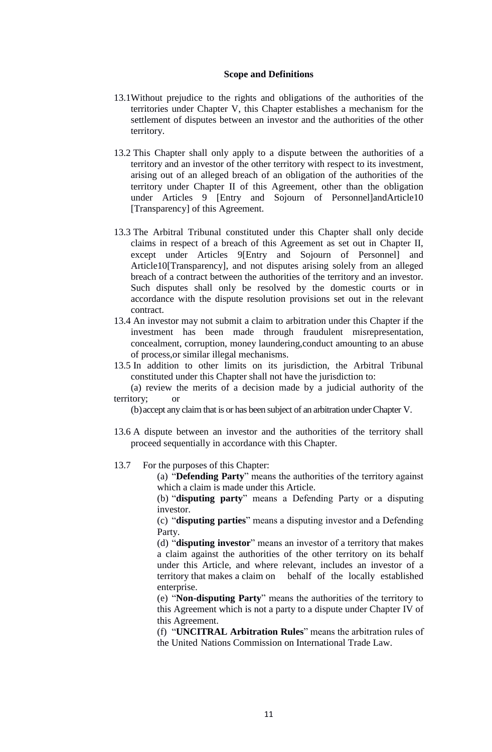#### **Scope and Definitions**

- 13.1Without prejudice to the rights and obligations of the authorities of the territories under Chapter V, this Chapter establishes a mechanism for the settlement of disputes between an investor and the authorities of the other territory.
- 13.2 This Chapter shall only apply to a dispute between the authorities of a territory and an investor of the other territory with respect to its investment, arising out of an alleged breach of an obligation of the authorities of the territory under Chapter II of this Agreement, other than the obligation under Articles 9 [Entry and Sojourn of Personnel]andArticle10 [Transparency] of this Agreement.
- 13.3 The Arbitral Tribunal constituted under this Chapter shall only decide claims in respect of a breach of this Agreement as set out in Chapter II, except under Articles 9[Entry and Sojourn of Personnel] and Article10[Transparency], and not disputes arising solely from an alleged breach of a contract between the authorities of the territory and an investor. Such disputes shall only be resolved by the domestic courts or in accordance with the dispute resolution provisions set out in the relevant contract.
- 13.4 An investor may not submit a claim to arbitration under this Chapter if the investment has been made through fraudulent misrepresentation, concealment, corruption, money laundering,conduct amounting to an abuse of process,or similar illegal mechanisms.
- 13.5 In addition to other limits on its jurisdiction, the Arbitral Tribunal constituted under this Chapter shall not have the jurisdiction to:

(a) review the merits of a decision made by a judicial authority of the territory; or

(b)accept any claim that is or has been subject of an arbitration under Chapter V.

- 13.6 A dispute between an investor and the authorities of the territory shall proceed sequentially in accordance with this Chapter.
- 13.7 For the purposes of this Chapter:

(a) "**Defending Party**" means the authorities of the territory against which a claim is made under this Article.

(b) "**disputing party**" means a Defending Party or a disputing investor.

(c) "**disputing parties**" means a disputing investor and a Defending Party.

(d) "**disputing investor**" means an investor of a territory that makes a claim against the authorities of the other territory on its behalf under this Article, and where relevant, includes an investor of a territory that makes a claim on behalf of the locally established enterprise.

(e) "**Non-disputing Party**" means the authorities of the territory to this Agreement which is not a party to a dispute under Chapter IV of this Agreement.

(f) "**UNCITRAL Arbitration Rules**" means the arbitration rules of the United Nations Commission on International Trade Law.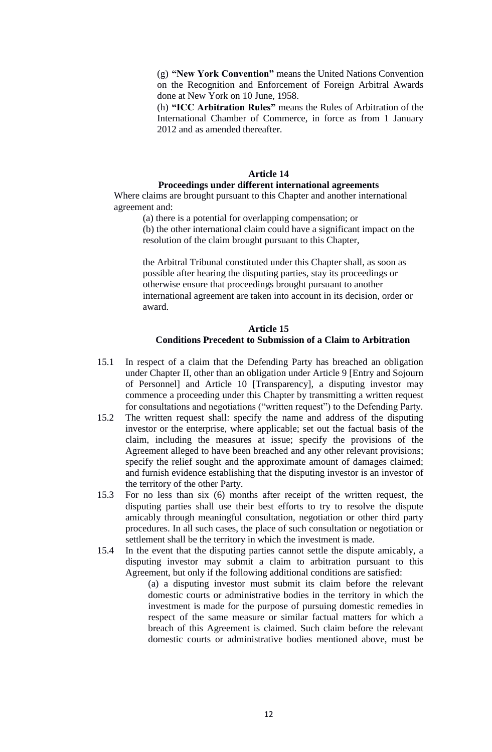(g) **"New York Convention"** means the United Nations Convention on the Recognition and Enforcement of Foreign Arbitral Awards done at New York on 10 June, 1958.

(h) **"ICC Arbitration Rules"** means the Rules of Arbitration of the International Chamber of Commerce, in force as from 1 January 2012 and as amended thereafter.

#### **Article 14**

#### **Proceedings under different international agreements**

Where claims are brought pursuant to this Chapter and another international agreement and:

(a) there is a potential for overlapping compensation; or

(b) the other international claim could have a significant impact on the resolution of the claim brought pursuant to this Chapter,

the Arbitral Tribunal constituted under this Chapter shall, as soon as possible after hearing the disputing parties, stay its proceedings or otherwise ensure that proceedings brought pursuant to another international agreement are taken into account in its decision, order or award.

## **Article 15 Conditions Precedent to Submission of a Claim to Arbitration**

- 15.1 In respect of a claim that the Defending Party has breached an obligation under Chapter II, other than an obligation under Article 9 [Entry and Sojourn of Personnel] and Article 10 [Transparency], a disputing investor may commence a proceeding under this Chapter by transmitting a written request for consultations and negotiations ("written request") to the Defending Party.
- 15.2 The written request shall: specify the name and address of the disputing investor or the enterprise, where applicable; set out the factual basis of the claim, including the measures at issue; specify the provisions of the Agreement alleged to have been breached and any other relevant provisions; specify the relief sought and the approximate amount of damages claimed; and furnish evidence establishing that the disputing investor is an investor of the territory of the other Party.
- 15.3 For no less than six (6) months after receipt of the written request, the disputing parties shall use their best efforts to try to resolve the dispute amicably through meaningful consultation, negotiation or other third party procedures. In all such cases, the place of such consultation or negotiation or settlement shall be the territory in which the investment is made.
- 15.4 In the event that the disputing parties cannot settle the dispute amicably, a disputing investor may submit a claim to arbitration pursuant to this Agreement, but only if the following additional conditions are satisfied:

(a) a disputing investor must submit its claim before the relevant domestic courts or administrative bodies in the territory in which the investment is made for the purpose of pursuing domestic remedies in respect of the same measure or similar factual matters for which a breach of this Agreement is claimed. Such claim before the relevant domestic courts or administrative bodies mentioned above, must be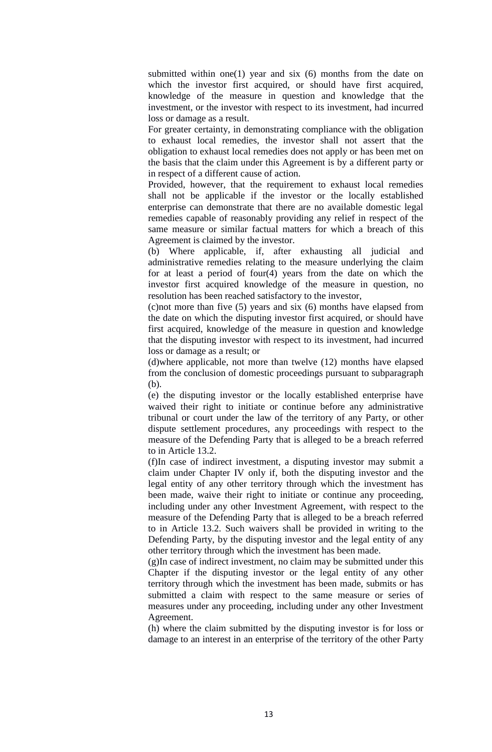submitted within one(1) year and six  $(6)$  months from the date on which the investor first acquired, or should have first acquired, knowledge of the measure in question and knowledge that the investment, or the investor with respect to its investment, had incurred loss or damage as a result.

For greater certainty, in demonstrating compliance with the obligation to exhaust local remedies, the investor shall not assert that the obligation to exhaust local remedies does not apply or has been met on the basis that the claim under this Agreement is by a different party or in respect of a different cause of action.

Provided, however, that the requirement to exhaust local remedies shall not be applicable if the investor or the locally established enterprise can demonstrate that there are no available domestic legal remedies capable of reasonably providing any relief in respect of the same measure or similar factual matters for which a breach of this Agreement is claimed by the investor.

(b) Where applicable, if, after exhausting all judicial and administrative remedies relating to the measure underlying the claim for at least a period of four(4) years from the date on which the investor first acquired knowledge of the measure in question, no resolution has been reached satisfactory to the investor,

(c)not more than five (5) years and six (6) months have elapsed from the date on which the disputing investor first acquired, or should have first acquired, knowledge of the measure in question and knowledge that the disputing investor with respect to its investment, had incurred loss or damage as a result; or

(d)where applicable, not more than twelve (12) months have elapsed from the conclusion of domestic proceedings pursuant to subparagraph (b).

(e) the disputing investor or the locally established enterprise have waived their right to initiate or continue before any administrative tribunal or court under the law of the territory of any Party, or other dispute settlement procedures, any proceedings with respect to the measure of the Defending Party that is alleged to be a breach referred to in Article 13.2.

(f)In case of indirect investment, a disputing investor may submit a claim under Chapter IV only if, both the disputing investor and the legal entity of any other territory through which the investment has been made, waive their right to initiate or continue any proceeding, including under any other Investment Agreement, with respect to the measure of the Defending Party that is alleged to be a breach referred to in Article 13.2. Such waivers shall be provided in writing to the Defending Party, by the disputing investor and the legal entity of any other territory through which the investment has been made.

(g)In case of indirect investment, no claim may be submitted under this Chapter if the disputing investor or the legal entity of any other territory through which the investment has been made, submits or has submitted a claim with respect to the same measure or series of measures under any proceeding, including under any other Investment Agreement.

(h) where the claim submitted by the disputing investor is for loss or damage to an interest in an enterprise of the territory of the other Party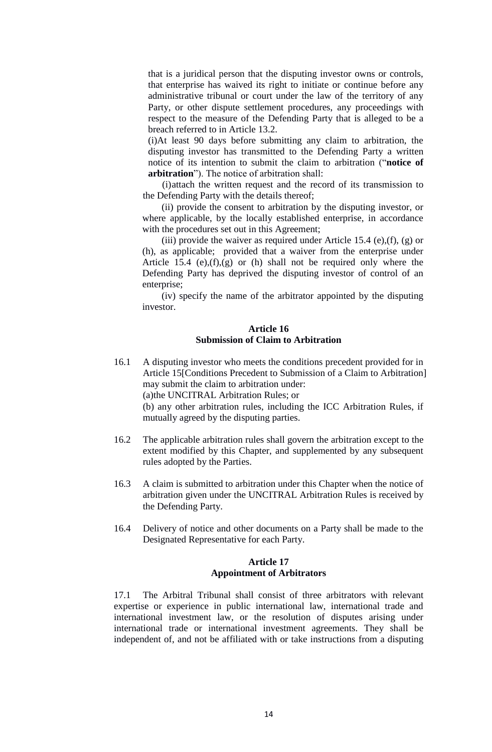that is a juridical person that the disputing investor owns or controls, that enterprise has waived its right to initiate or continue before any administrative tribunal or court under the law of the territory of any Party, or other dispute settlement procedures, any proceedings with respect to the measure of the Defending Party that is alleged to be a breach referred to in Article 13.2.

(i)At least 90 days before submitting any claim to arbitration, the disputing investor has transmitted to the Defending Party a written notice of its intention to submit the claim to arbitration ("**notice of arbitration**"). The notice of arbitration shall:

(i)attach the written request and the record of its transmission to the Defending Party with the details thereof;

(ii) provide the consent to arbitration by the disputing investor, or where applicable, by the locally established enterprise, in accordance with the procedures set out in this Agreement;

(iii) provide the waiver as required under Article 15.4 (e),(f), (g) or (h), as applicable; provided that a waiver from the enterprise under Article 15.4 (e), $(f)$ , $(g)$  or (h) shall not be required only where the Defending Party has deprived the disputing investor of control of an enterprise;

(iv) specify the name of the arbitrator appointed by the disputing investor.

## **Article 16 Submission of Claim to Arbitration**

- 16.1 A disputing investor who meets the conditions precedent provided for in Article 15[Conditions Precedent to Submission of a Claim to Arbitration] may submit the claim to arbitration under: (a)the UNCITRAL Arbitration Rules; or (b) any other arbitration rules, including the ICC Arbitration Rules, if mutually agreed by the disputing parties.
- 16.2 The applicable arbitration rules shall govern the arbitration except to the extent modified by this Chapter, and supplemented by any subsequent rules adopted by the Parties.
- 16.3 A claim is submitted to arbitration under this Chapter when the notice of arbitration given under the UNCITRAL Arbitration Rules is received by the Defending Party.
- 16.4 Delivery of notice and other documents on a Party shall be made to the Designated Representative for each Party.

## **Article 17 Appointment of Arbitrators**

17.1 The Arbitral Tribunal shall consist of three arbitrators with relevant expertise or experience in public international law, international trade and international investment law, or the resolution of disputes arising under international trade or international investment agreements. They shall be independent of, and not be affiliated with or take instructions from a disputing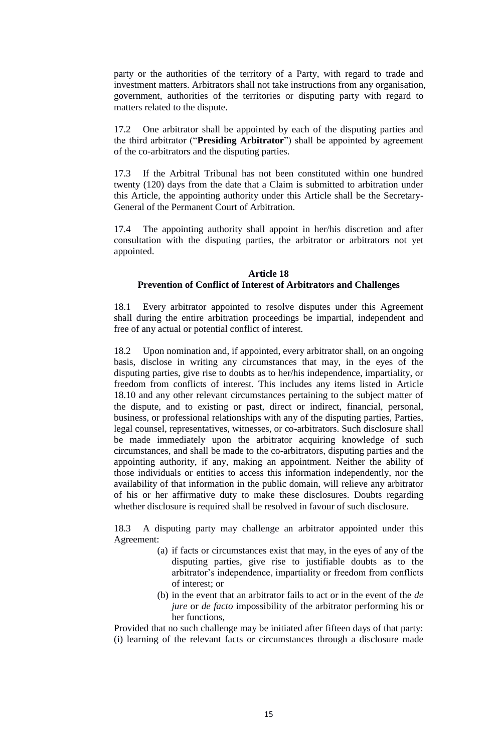party or the authorities of the territory of a Party, with regard to trade and investment matters. Arbitrators shall not take instructions from any organisation, government, authorities of the territories or disputing party with regard to matters related to the dispute.

17.2 One arbitrator shall be appointed by each of the disputing parties and the third arbitrator ("**Presiding Arbitrator**") shall be appointed by agreement of the co-arbitrators and the disputing parties.

17.3 If the Arbitral Tribunal has not been constituted within one hundred twenty (120) days from the date that a Claim is submitted to arbitration under this Article, the appointing authority under this Article shall be the Secretary-General of the Permanent Court of Arbitration.

17.4 The appointing authority shall appoint in her/his discretion and after consultation with the disputing parties, the arbitrator or arbitrators not yet appointed.

## **Article 18 Prevention of Conflict of Interest of Arbitrators and Challenges**

18.1 Every arbitrator appointed to resolve disputes under this Agreement shall during the entire arbitration proceedings be impartial, independent and free of any actual or potential conflict of interest.

18.2 Upon nomination and, if appointed, every arbitrator shall, on an ongoing basis, disclose in writing any circumstances that may, in the eyes of the disputing parties, give rise to doubts as to her/his independence, impartiality, or freedom from conflicts of interest. This includes any items listed in Article 18.10 and any other relevant circumstances pertaining to the subject matter of the dispute, and to existing or past, direct or indirect, financial, personal, business, or professional relationships with any of the disputing parties, Parties, legal counsel, representatives, witnesses, or co-arbitrators. Such disclosure shall be made immediately upon the arbitrator acquiring knowledge of such circumstances, and shall be made to the co-arbitrators, disputing parties and the appointing authority, if any, making an appointment. Neither the ability of those individuals or entities to access this information independently, nor the availability of that information in the public domain, will relieve any arbitrator of his or her affirmative duty to make these disclosures. Doubts regarding whether disclosure is required shall be resolved in favour of such disclosure.

18.3 A disputing party may challenge an arbitrator appointed under this Agreement:

- (a) if facts or circumstances exist that may, in the eyes of any of the disputing parties, give rise to justifiable doubts as to the arbitrator's independence, impartiality or freedom from conflicts of interest; or
- (b) in the event that an arbitrator fails to act or in the event of the *de jure* or *de facto* impossibility of the arbitrator performing his or her functions,

Provided that no such challenge may be initiated after fifteen days of that party: (i) learning of the relevant facts or circumstances through a disclosure made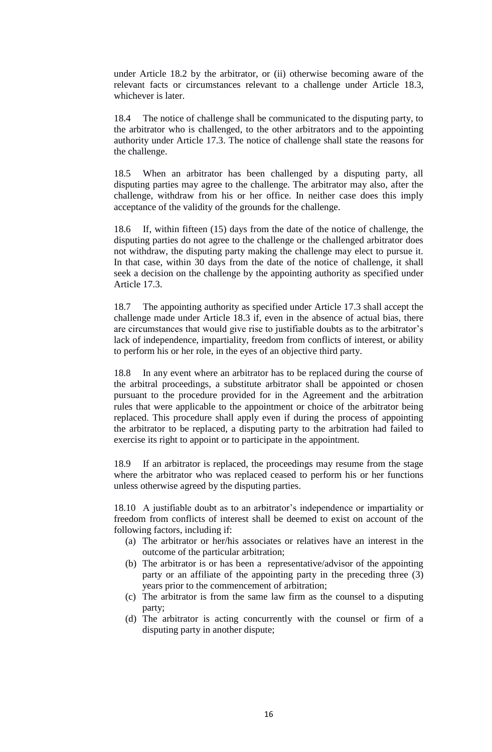under Article 18.2 by the arbitrator, or (ii) otherwise becoming aware of the relevant facts or circumstances relevant to a challenge under Article 18.3, whichever is later.

18.4 The notice of challenge shall be communicated to the disputing party, to the arbitrator who is challenged, to the other arbitrators and to the appointing authority under Article 17.3. The notice of challenge shall state the reasons for the challenge.

18.5 When an arbitrator has been challenged by a disputing party, all disputing parties may agree to the challenge. The arbitrator may also, after the challenge, withdraw from his or her office. In neither case does this imply acceptance of the validity of the grounds for the challenge.

18.6 If, within fifteen (15) days from the date of the notice of challenge, the disputing parties do not agree to the challenge or the challenged arbitrator does not withdraw, the disputing party making the challenge may elect to pursue it. In that case, within 30 days from the date of the notice of challenge, it shall seek a decision on the challenge by the appointing authority as specified under Article 17.3.

18.7 The appointing authority as specified under Article 17.3 shall accept the challenge made under Article 18.3 if, even in the absence of actual bias, there are circumstances that would give rise to justifiable doubts as to the arbitrator's lack of independence, impartiality, freedom from conflicts of interest, or ability to perform his or her role, in the eyes of an objective third party.

In any event where an arbitrator has to be replaced during the course of the arbitral proceedings, a substitute arbitrator shall be appointed or chosen pursuant to the procedure provided for in the Agreement and the arbitration rules that were applicable to the appointment or choice of the arbitrator being replaced. This procedure shall apply even if during the process of appointing the arbitrator to be replaced, a disputing party to the arbitration had failed to exercise its right to appoint or to participate in the appointment.

18.9 If an arbitrator is replaced, the proceedings may resume from the stage where the arbitrator who was replaced ceased to perform his or her functions unless otherwise agreed by the disputing parties.

18.10 A justifiable doubt as to an arbitrator's independence or impartiality or freedom from conflicts of interest shall be deemed to exist on account of the following factors, including if:

- (a) The arbitrator or her/his associates or relatives have an interest in the outcome of the particular arbitration;
- (b) The arbitrator is or has been a representative/advisor of the appointing party or an affiliate of the appointing party in the preceding three (3) years prior to the commencement of arbitration;
- (c) The arbitrator is from the same law firm as the counsel to a disputing party;
- (d) The arbitrator is acting concurrently with the counsel or firm of a disputing party in another dispute;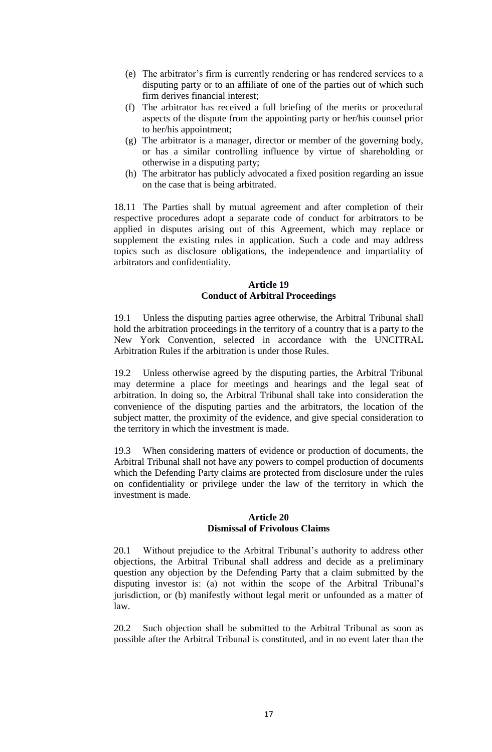- (e) The arbitrator's firm is currently rendering or has rendered services to a disputing party or to an affiliate of one of the parties out of which such firm derives financial interest;
- (f) The arbitrator has received a full briefing of the merits or procedural aspects of the dispute from the appointing party or her/his counsel prior to her/his appointment;
- (g) The arbitrator is a manager, director or member of the governing body, or has a similar controlling influence by virtue of shareholding or otherwise in a disputing party;
- (h) The arbitrator has publicly advocated a fixed position regarding an issue on the case that is being arbitrated.

18.11 The Parties shall by mutual agreement and after completion of their respective procedures adopt a separate code of conduct for arbitrators to be applied in disputes arising out of this Agreement, which may replace or supplement the existing rules in application. Such a code and may address topics such as disclosure obligations, the independence and impartiality of arbitrators and confidentiality.

### **Article 19 Conduct of Arbitral Proceedings**

19.1 Unless the disputing parties agree otherwise, the Arbitral Tribunal shall hold the arbitration proceedings in the territory of a country that is a party to the New York Convention, selected in accordance with the UNCITRAL Arbitration Rules if the arbitration is under those Rules.

19.2 Unless otherwise agreed by the disputing parties, the Arbitral Tribunal may determine a place for meetings and hearings and the legal seat of arbitration. In doing so, the Arbitral Tribunal shall take into consideration the convenience of the disputing parties and the arbitrators, the location of the subject matter, the proximity of the evidence, and give special consideration to the territory in which the investment is made.

19.3 When considering matters of evidence or production of documents, the Arbitral Tribunal shall not have any powers to compel production of documents which the Defending Party claims are protected from disclosure under the rules on confidentiality or privilege under the law of the territory in which the investment is made.

#### **Article 20 Dismissal of Frivolous Claims**

20.1 Without prejudice to the Arbitral Tribunal's authority to address other objections, the Arbitral Tribunal shall address and decide as a preliminary question any objection by the Defending Party that a claim submitted by the disputing investor is: (a) not within the scope of the Arbitral Tribunal's jurisdiction, or (b) manifestly without legal merit or unfounded as a matter of law.

20.2 Such objection shall be submitted to the Arbitral Tribunal as soon as possible after the Arbitral Tribunal is constituted, and in no event later than the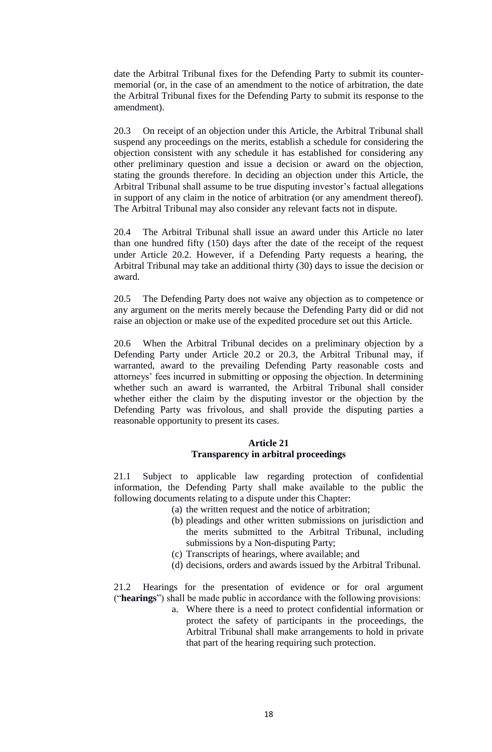date the Arbitral Tribunal fixes for the Defending Party to submit its countermemorial (or, in the case of an amendment to the notice of arbitration, the date the Arbitral Tribunal fixes for the Defending Party to submit its response to the amendment).

20.3 On receipt of an objection under this Article, the Arbitral Tribunal shall suspend any proceedings on the merits, establish a schedule for considering the objection consistent with any schedule it has established for considering any other preliminary question and issue a decision or award on the objection, stating the grounds therefore. In deciding an objection under this Article, the Arbitral Tribunal shall assume to be true disputing investor's factual allegations in support of any claim in the notice of arbitration (or any amendment thereof). The Arbitral Tribunal may also consider any relevant facts not in dispute.

20.4 The Arbitral Tribunal shall issue an award under this Article no later than one hundred fifty (150) days after the date of the receipt of the request under Article 20.2. However, if a Defending Party requests a hearing, the Arbitral Tribunal may take an additional thirty (30) days to issue the decision or award.

20.5 The Defending Party does not waive any objection as to competence or any argument on the merits merely because the Defending Party did or did not raise an objection or make use of the expedited procedure set out this Article.

20.6 When the Arbitral Tribunal decides on a preliminary objection by a Defending Party under Article 20.2 or 20.3, the Arbitral Tribunal may, if warranted, award to the prevailing Defending Party reasonable costs and attorneys' fees incurred in submitting or opposing the objection. In determining whether such an award is warranted, the Arbitral Tribunal shall consider whether either the claim by the disputing investor or the objection by the Defending Party was frivolous, and shall provide the disputing parties a reasonable opportunity to present its cases.

#### **Article 21 Transparency in arbitral proceedings**

21.1 Subject to applicable law regarding protection of confidential information, the Defending Party shall make available to the public the following documents relating to a dispute under this Chapter:

- (a) the written request and the notice of arbitration;
	- (b) pleadings and other written submissions on jurisdiction and the merits submitted to the Arbitral Tribunal, including submissions by a Non-disputing Party;
	- (c) Transcripts of hearings, where available; and
	- (d) decisions, orders and awards issued by the Arbitral Tribunal.

21.2 Hearings for the presentation of evidence or for oral argument ("**hearings**") shall be made public in accordance with the following provisions:

> a. Where there is a need to protect confidential information or protect the safety of participants in the proceedings, the Arbitral Tribunal shall make arrangements to hold in private that part of the hearing requiring such protection.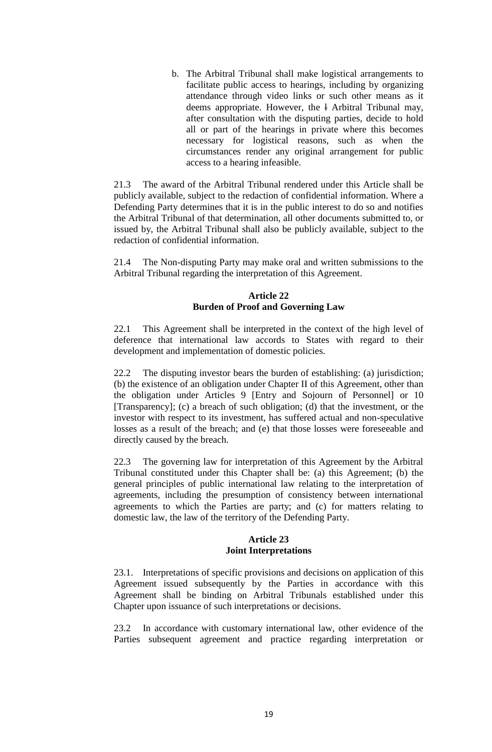b. The Arbitral Tribunal shall make logistical arrangements to facilitate public access to hearings, including by organizing attendance through video links or such other means as it deems appropriate. However, the l Arbitral Tribunal may, after consultation with the disputing parties, decide to hold all or part of the hearings in private where this becomes necessary for logistical reasons, such as when the circumstances render any original arrangement for public access to a hearing infeasible.

21.3 The award of the Arbitral Tribunal rendered under this Article shall be publicly available, subject to the redaction of confidential information. Where a Defending Party determines that it is in the public interest to do so and notifies the Arbitral Tribunal of that determination, all other documents submitted to, or issued by, the Arbitral Tribunal shall also be publicly available, subject to the redaction of confidential information.

21.4 The Non-disputing Party may make oral and written submissions to the Arbitral Tribunal regarding the interpretation of this Agreement.

## **Article 22 Burden of Proof and Governing Law**

22.1 This Agreement shall be interpreted in the context of the high level of deference that international law accords to States with regard to their development and implementation of domestic policies.

22.2 The disputing investor bears the burden of establishing: (a) jurisdiction; (b) the existence of an obligation under Chapter II of this Agreement, other than the obligation under Articles 9 [Entry and Sojourn of Personnel] or 10 [Transparency]; (c) a breach of such obligation; (d) that the investment, or the investor with respect to its investment, has suffered actual and non-speculative losses as a result of the breach; and (e) that those losses were foreseeable and directly caused by the breach.

22.3 The governing law for interpretation of this Agreement by the Arbitral Tribunal constituted under this Chapter shall be: (a) this Agreement; (b) the general principles of public international law relating to the interpretation of agreements, including the presumption of consistency between international agreements to which the Parties are party; and (c) for matters relating to domestic law, the law of the territory of the Defending Party.

#### **Article 23 Joint Interpretations**

23.1. Interpretations of specific provisions and decisions on application of this Agreement issued subsequently by the Parties in accordance with this Agreement shall be binding on Arbitral Tribunals established under this Chapter upon issuance of such interpretations or decisions.

23.2 In accordance with customary international law, other evidence of the Parties subsequent agreement and practice regarding interpretation or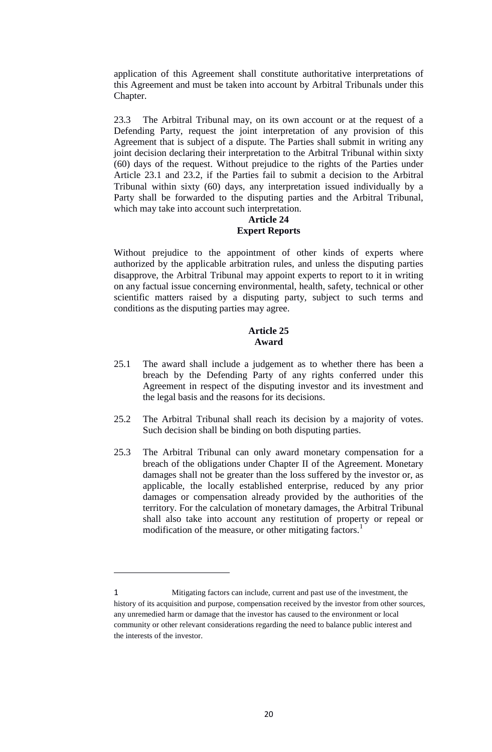application of this Agreement shall constitute authoritative interpretations of this Agreement and must be taken into account by Arbitral Tribunals under this Chapter.

23.3 The Arbitral Tribunal may, on its own account or at the request of a Defending Party, request the joint interpretation of any provision of this Agreement that is subject of a dispute. The Parties shall submit in writing any joint decision declaring their interpretation to the Arbitral Tribunal within sixty (60) days of the request. Without prejudice to the rights of the Parties under Article 23.1 and 23.2, if the Parties fail to submit a decision to the Arbitral Tribunal within sixty (60) days, any interpretation issued individually by a Party shall be forwarded to the disputing parties and the Arbitral Tribunal, which may take into account such interpretation.

## **Article 24 Expert Reports**

Without prejudice to the appointment of other kinds of experts where authorized by the applicable arbitration rules, and unless the disputing parties disapprove, the Arbitral Tribunal may appoint experts to report to it in writing on any factual issue concerning environmental, health, safety, technical or other scientific matters raised by a disputing party, subject to such terms and conditions as the disputing parties may agree.

## **Article 25 Award**

- 25.1 The award shall include a judgement as to whether there has been a breach by the Defending Party of any rights conferred under this Agreement in respect of the disputing investor and its investment and the legal basis and the reasons for its decisions.
- 25.2 The Arbitral Tribunal shall reach its decision by a majority of votes. Such decision shall be binding on both disputing parties.
- 25.3 The Arbitral Tribunal can only award monetary compensation for a breach of the obligations under Chapter II of the Agreement. Monetary damages shall not be greater than the loss suffered by the investor or, as applicable, the locally established enterprise, reduced by any prior damages or compensation already provided by the authorities of the territory. For the calculation of monetary damages, the Arbitral Tribunal shall also take into account any restitution of property or repeal or modification of the measure, or other mitigating factors.<sup>1</sup>

1

<sup>1</sup> Mitigating factors can include, current and past use of the investment, the history of its acquisition and purpose, compensation received by the investor from other sources, any unremedied harm or damage that the investor has caused to the environment or local community or other relevant considerations regarding the need to balance public interest and the interests of the investor.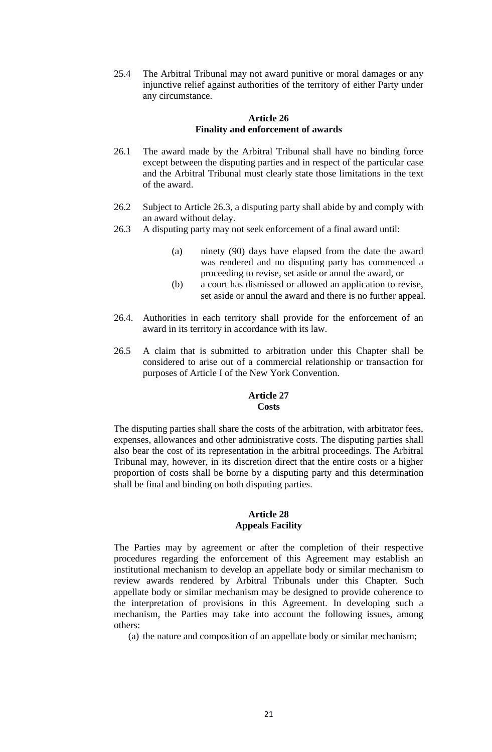25.4 The Arbitral Tribunal may not award punitive or moral damages or any injunctive relief against authorities of the territory of either Party under any circumstance.

#### **Article 26 Finality and enforcement of awards**

- 26.1 The award made by the Arbitral Tribunal shall have no binding force except between the disputing parties and in respect of the particular case and the Arbitral Tribunal must clearly state those limitations in the text of the award.
- 26.2 Subject to Article 26.3, a disputing party shall abide by and comply with an award without delay.
- 26.3 A disputing party may not seek enforcement of a final award until:
	- (a) ninety (90) days have elapsed from the date the award was rendered and no disputing party has commenced a proceeding to revise, set aside or annul the award, or
	- (b) a court has dismissed or allowed an application to revise, set aside or annul the award and there is no further appeal.
- 26.4. Authorities in each territory shall provide for the enforcement of an award in its territory in accordance with its law.
- 26.5 A claim that is submitted to arbitration under this Chapter shall be considered to arise out of a commercial relationship or transaction for purposes of Article I of the New York Convention.

#### **Article 27 Costs**

The disputing parties shall share the costs of the arbitration, with arbitrator fees, expenses, allowances and other administrative costs. The disputing parties shall also bear the cost of its representation in the arbitral proceedings. The Arbitral Tribunal may, however, in its discretion direct that the entire costs or a higher proportion of costs shall be borne by a disputing party and this determination shall be final and binding on both disputing parties.

## **Article 28 Appeals Facility**

The Parties may by agreement or after the completion of their respective procedures regarding the enforcement of this Agreement may establish an institutional mechanism to develop an appellate body or similar mechanism to review awards rendered by Arbitral Tribunals under this Chapter. Such appellate body or similar mechanism may be designed to provide coherence to the interpretation of provisions in this Agreement. In developing such a mechanism, the Parties may take into account the following issues, among others:

(a) the nature and composition of an appellate body or similar mechanism;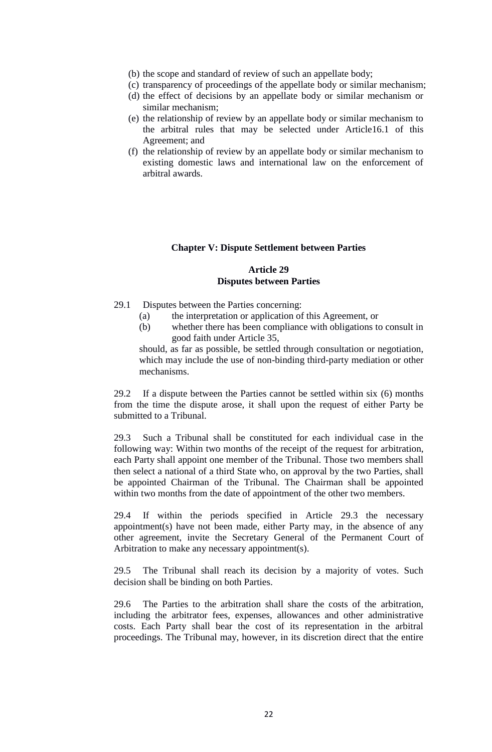- (b) the scope and standard of review of such an appellate body;
- (c) transparency of proceedings of the appellate body or similar mechanism;
- (d) the effect of decisions by an appellate body or similar mechanism or similar mechanism;
- (e) the relationship of review by an appellate body or similar mechanism to the arbitral rules that may be selected under Article16.1 of this Agreement; and
- (f) the relationship of review by an appellate body or similar mechanism to existing domestic laws and international law on the enforcement of arbitral awards.

#### **Chapter V: Dispute Settlement between Parties**

#### **Article 29 Disputes between Parties**

- 29.1 Disputes between the Parties concerning:
	- (a) the interpretation or application of this Agreement, or
	- (b) whether there has been compliance with obligations to consult in good faith under Article 35,

should, as far as possible, be settled through consultation or negotiation, which may include the use of non-binding third-party mediation or other mechanisms.

29.2 If a dispute between the Parties cannot be settled within six (6) months from the time the dispute arose, it shall upon the request of either Party be submitted to a Tribunal.

29.3 Such a Tribunal shall be constituted for each individual case in the following way: Within two months of the receipt of the request for arbitration, each Party shall appoint one member of the Tribunal. Those two members shall then select a national of a third State who, on approval by the two Parties, shall be appointed Chairman of the Tribunal. The Chairman shall be appointed within two months from the date of appointment of the other two members.

29.4 If within the periods specified in Article 29.3 the necessary appointment(s) have not been made, either Party may, in the absence of any other agreement, invite the Secretary General of the Permanent Court of Arbitration to make any necessary appointment(s).

29.5 The Tribunal shall reach its decision by a majority of votes. Such decision shall be binding on both Parties.

29.6 The Parties to the arbitration shall share the costs of the arbitration, including the arbitrator fees, expenses, allowances and other administrative costs. Each Party shall bear the cost of its representation in the arbitral proceedings. The Tribunal may, however, in its discretion direct that the entire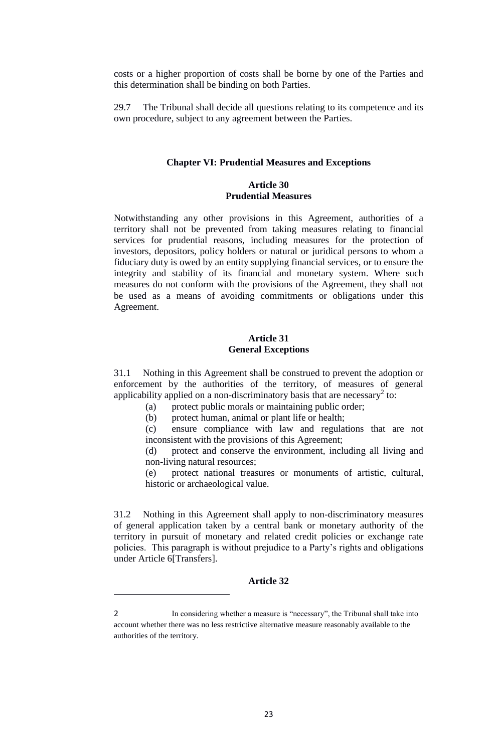costs or a higher proportion of costs shall be borne by one of the Parties and this determination shall be binding on both Parties.

29.7 The Tribunal shall decide all questions relating to its competence and its own procedure, subject to any agreement between the Parties.

#### **Chapter VI: Prudential Measures and Exceptions**

## **Article 30 Prudential Measures**

Notwithstanding any other provisions in this Agreement, authorities of a territory shall not be prevented from taking measures relating to financial services for prudential reasons, including measures for the protection of investors, depositors, policy holders or natural or juridical persons to whom a fiduciary duty is owed by an entity supplying financial services, or to ensure the integrity and stability of its financial and monetary system. Where such measures do not conform with the provisions of the Agreement, they shall not be used as a means of avoiding commitments or obligations under this Agreement.

#### **Article 31 General Exceptions**

31.1 Nothing in this Agreement shall be construed to prevent the adoption or enforcement by the authorities of the territory, of measures of general applicability applied on a non-discriminatory basis that are necessary<sup>2</sup> to:

(a) protect public morals or maintaining public order;

(b) protect human, animal or plant life or health;

(c) ensure compliance with law and regulations that are not inconsistent with the provisions of this Agreement;

(d) protect and conserve the environment, including all living and non-living natural resources;

(e) protect national treasures or monuments of artistic, cultural, historic or archaeological value.

31.2 Nothing in this Agreement shall apply to non-discriminatory measures of general application taken by a central bank or monetary authority of the territory in pursuit of monetary and related credit policies or exchange rate policies. This paragraph is without prejudice to a Party's rights and obligations under Article 6[Transfers].

## **Article 32**

**.** 

<sup>2</sup> In considering whether a measure is "necessary", the Tribunal shall take into account whether there was no less restrictive alternative measure reasonably available to the authorities of the territory.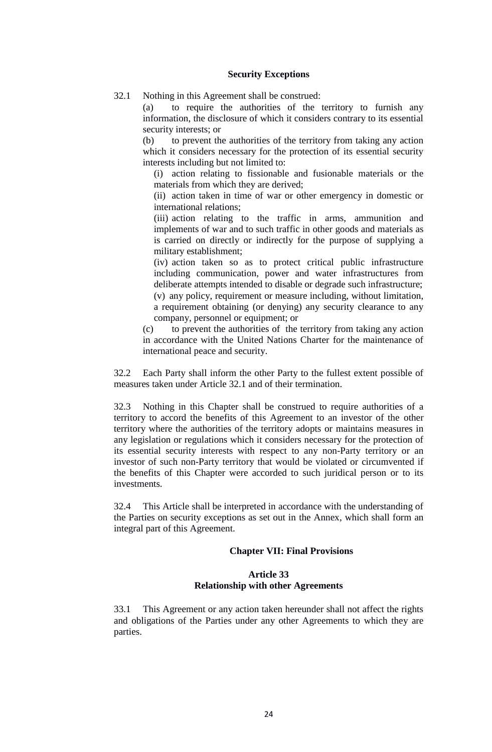#### **Security Exceptions**

32.1 Nothing in this Agreement shall be construed:

(a) to require the authorities of the territory to furnish any information, the disclosure of which it considers contrary to its essential security interests; or

(b) to prevent the authorities of the territory from taking any action which it considers necessary for the protection of its essential security interests including but not limited to:

(i) action relating to fissionable and fusionable materials or the materials from which they are derived;

(ii) action taken in time of war or other emergency in domestic or international relations;

(iii) action relating to the traffic in arms, ammunition and implements of war and to such traffic in other goods and materials as is carried on directly or indirectly for the purpose of supplying a military establishment;

(iv) action taken so as to protect critical public infrastructure including communication, power and water infrastructures from deliberate attempts intended to disable or degrade such infrastructure; (v) any policy, requirement or measure including, without limitation, a requirement obtaining (or denying) any security clearance to any company, personnel or equipment; or

(c) to prevent the authorities of the territory from taking any action in accordance with the United Nations Charter for the maintenance of international peace and security.

32.2 Each Party shall inform the other Party to the fullest extent possible of measures taken under Article 32.1 and of their termination.

32.3 Nothing in this Chapter shall be construed to require authorities of a territory to accord the benefits of this Agreement to an investor of the other territory where the authorities of the territory adopts or maintains measures in any legislation or regulations which it considers necessary for the protection of its essential security interests with respect to any non-Party territory or an investor of such non-Party territory that would be violated or circumvented if the benefits of this Chapter were accorded to such juridical person or to its investments.

32.4 This Article shall be interpreted in accordance with the understanding of the Parties on security exceptions as set out in the Annex, which shall form an integral part of this Agreement.

#### **Chapter VII: Final Provisions**

#### **Article 33 Relationship with other Agreements**

33.1 This Agreement or any action taken hereunder shall not affect the rights and obligations of the Parties under any other Agreements to which they are parties.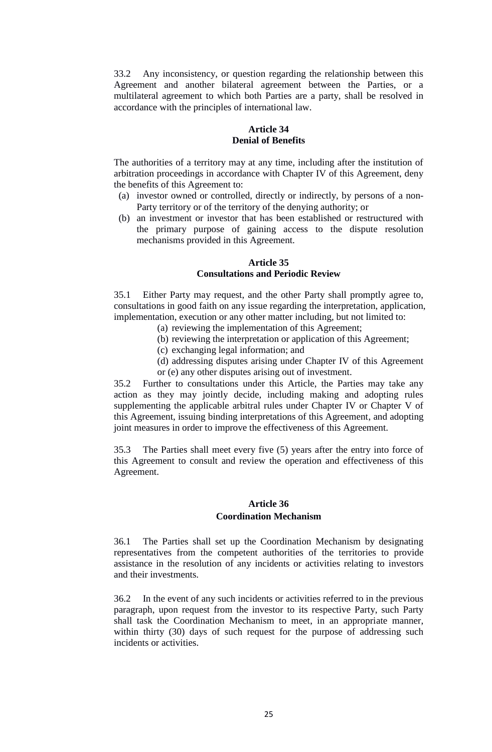33.2 Any inconsistency, or question regarding the relationship between this Agreement and another bilateral agreement between the Parties, or a multilateral agreement to which both Parties are a party, shall be resolved in accordance with the principles of international law.

#### **Article 34 Denial of Benefits**

The authorities of a territory may at any time, including after the institution of arbitration proceedings in accordance with Chapter IV of this Agreement, deny the benefits of this Agreement to:

- (a) investor owned or controlled, directly or indirectly, by persons of a non-Party territory or of the territory of the denying authority; or
- (b) an investment or investor that has been established or restructured with the primary purpose of gaining access to the dispute resolution mechanisms provided in this Agreement.

#### **Article 35 Consultations and Periodic Review**

35.1 Either Party may request, and the other Party shall promptly agree to, consultations in good faith on any issue regarding the interpretation, application, implementation, execution or any other matter including, but not limited to:

- (a) reviewing the implementation of this Agreement;
- (b) reviewing the interpretation or application of this Agreement;
- (c) exchanging legal information; and
- (d) addressing disputes arising under Chapter IV of this Agreement or (e) any other disputes arising out of investment.

35.2 Further to consultations under this Article, the Parties may take any action as they may jointly decide, including making and adopting rules supplementing the applicable arbitral rules under Chapter IV or Chapter V of this Agreement, issuing binding interpretations of this Agreement, and adopting joint measures in order to improve the effectiveness of this Agreement.

35.3 The Parties shall meet every five (5) years after the entry into force of this Agreement to consult and review the operation and effectiveness of this Agreement.

## **Article 36 Coordination Mechanism**

36.1 The Parties shall set up the Coordination Mechanism by designating representatives from the competent authorities of the territories to provide assistance in the resolution of any incidents or activities relating to investors and their investments.

36.2 In the event of any such incidents or activities referred to in the previous paragraph, upon request from the investor to its respective Party, such Party shall task the Coordination Mechanism to meet, in an appropriate manner, within thirty (30) days of such request for the purpose of addressing such incidents or activities.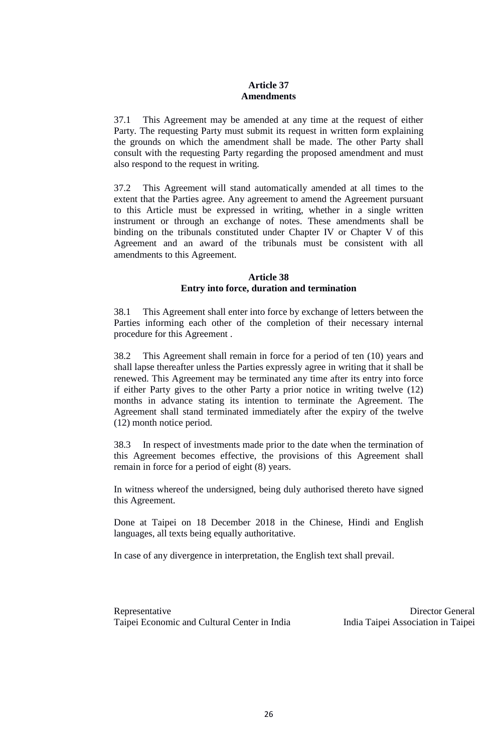### **Article 37 Amendments**

37.1 This Agreement may be amended at any time at the request of either Party. The requesting Party must submit its request in written form explaining the grounds on which the amendment shall be made. The other Party shall consult with the requesting Party regarding the proposed amendment and must also respond to the request in writing.

37.2 This Agreement will stand automatically amended at all times to the extent that the Parties agree. Any agreement to amend the Agreement pursuant to this Article must be expressed in writing, whether in a single written instrument or through an exchange of notes. These amendments shall be binding on the tribunals constituted under Chapter IV or Chapter V of this Agreement and an award of the tribunals must be consistent with all amendments to this Agreement.

### **Article 38 Entry into force, duration and termination**

38.1 This Agreement shall enter into force by exchange of letters between the Parties informing each other of the completion of their necessary internal procedure for this Agreement .

38.2 This Agreement shall remain in force for a period of ten (10) years and shall lapse thereafter unless the Parties expressly agree in writing that it shall be renewed. This Agreement may be terminated any time after its entry into force if either Party gives to the other Party a prior notice in writing twelve (12) months in advance stating its intention to terminate the Agreement. The Agreement shall stand terminated immediately after the expiry of the twelve (12) month notice period.

38.3 In respect of investments made prior to the date when the termination of this Agreement becomes effective, the provisions of this Agreement shall remain in force for a period of eight (8) years.

In witness whereof the undersigned, being duly authorised thereto have signed this Agreement.

Done at Taipei on 18 December 2018 in the Chinese, Hindi and English languages, all texts being equally authoritative.

In case of any divergence in interpretation, the English text shall prevail.

Representative Taipei Economic and Cultural Center in India

Director General India Taipei Association in Taipei